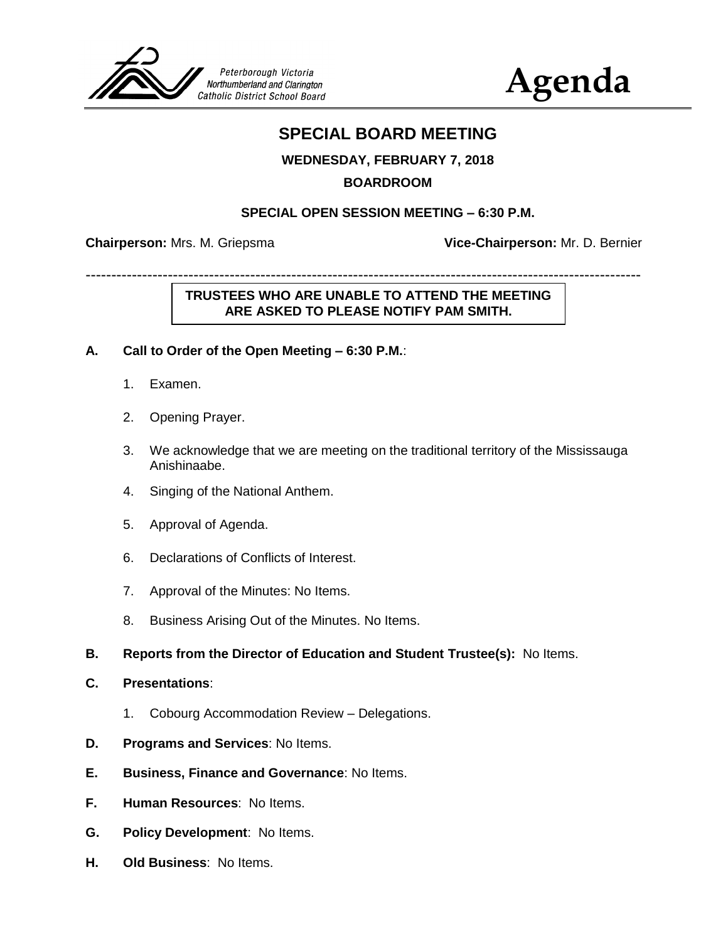

**Agenda**

# **SPECIAL BOARD MEETING**

## **WEDNESDAY, FEBRUARY 7, 2018**

## **BOARDROOM**

#### **SPECIAL OPEN SESSION MEETING – 6:30 P.M.**

**Chairperson:** Mrs. M. Griepsma **Vice-Chairperson:** Mr. D. Bernier

------------------------------------------------------------------------------------------------------------

## **TRUSTEES WHO ARE UNABLE TO ATTEND THE MEETING ARE ASKED TO PLEASE NOTIFY PAM SMITH.**

#### **A. Call to Order of the Open Meeting – 6:30 P.M.**:

- 1. Examen.
- 2. Opening Prayer.
- 3. We acknowledge that we are meeting on the traditional territory of the Mississauga Anishinaabe.
- 4. Singing of the National Anthem.
- 5. Approval of Agenda.
- 6. Declarations of Conflicts of Interest.
- 7. Approval of the Minutes: No Items.
- 8. Business Arising Out of the Minutes. No Items.
- **B. Reports from the Director of Education and Student Trustee(s):** No Items.
- **C. Presentations**:
	- 1. Cobourg Accommodation Review Delegations.
- **D. Programs and Services**: No Items.
- **E. Business, Finance and Governance**: No Items.
- **F. Human Resources**: No Items.
- **G. Policy Development**: No Items.
- **H. Old Business**: No Items.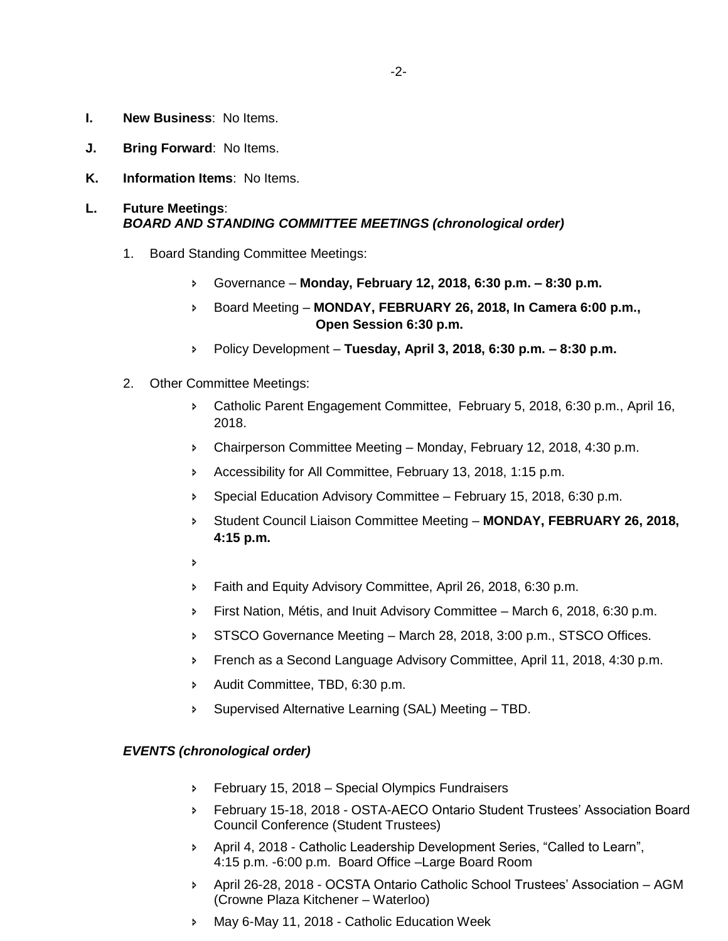- **I. New Business**: No Items.
- **J. Bring Forward**: No Items.
- **K. Information Items**: No Items.

#### **L. Future Meetings**: *BOARD AND STANDING COMMITTEE MEETINGS (chronological order)*

- 1. Board Standing Committee Meetings:
	- Governance **Monday, February 12, 2018, 6:30 p.m. – 8:30 p.m.**
	- Board Meeting **MONDAY, FEBRUARY 26, 2018, In Camera 6:00 p.m., Open Session 6:30 p.m.**
	- Policy Development **Tuesday, April 3, 2018, 6:30 p.m. – 8:30 p.m.**
- 2. Other Committee Meetings:
	- Catholic Parent Engagement Committee, February 5, 2018, 6:30 p.m., April 16, 2018.
	- Chairperson Committee Meeting Monday, February 12, 2018, 4:30 p.m.
	- Accessibility for All Committee, February 13, 2018, 1:15 p.m.
	- **Special Education Advisory Committee February 15, 2018, 6:30 p.m.**
	- Student Council Liaison Committee Meeting **MONDAY, FEBRUARY 26, 2018, 4:15 p.m.**
	- $\overline{b}$
	- Faith and Equity Advisory Committee, April 26, 2018, 6:30 p.m.
	- First Nation, Métis, and Inuit Advisory Committee March 6, 2018, 6:30 p.m.
	- STSCO Governance Meeting March 28, 2018, 3:00 p.m., STSCO Offices.
	- French as a Second Language Advisory Committee, April 11, 2018, 4:30 p.m.
	- Audit Committee, TBD, 6:30 p.m.
	- Supervised Alternative Learning (SAL) Meeting TBD.

#### *EVENTS (chronological order)*

- **February 15, 2018 Special Olympics Fundraisers**
- February 15-18, 2018 OSTA-AECO Ontario Student Trustees' Association Board Council Conference (Student Trustees)
- April 4, 2018 Catholic Leadership Development Series, "Called to Learn", 4:15 p.m. -6:00 p.m. Board Office –Large Board Room
- April 26-28, 2018 OCSTA Ontario Catholic School Trustees' Association AGM (Crowne Plaza Kitchener – Waterloo)
- May 6-May 11, 2018 Catholic Education Week